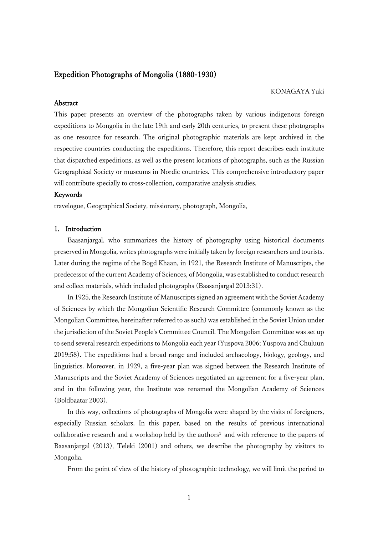# Expedition Photographs of Mongolia (1880-1930)

## KONAGAYA Yuki

## Abstract

This paper presents an overview of the photographs taken by various indigenous foreign expeditions to Mongolia in the late 19th and early 20th centuries, to present these photographs as one resource for research. The original photographic materials are kept archived in the respective countries conducting the expeditions. Therefore, this report describes each institute that dispatched expeditions, as well as the present locations of photographs, such as the Russian Geographical Society or museums in Nordic countries. This comprehensive introductory paper will contribute specially to cross-collection, comparative analysis studies.

## Keywords

travelogue, Geographical Society, missionary, photograph, Mongolia,

## 1. Introduction

Baasanjargal, who summarizes the history of photography using historical documents preserved in Mongolia, writes photographs were initially taken by foreign researchers and tourists. Later during the regime of the Bogd Khaan, in 1921, the Research Institute of Manuscripts, the predecessor of the current Academy of Sciences, of Mongolia, was established to conduct research and collect materials, which included photographs (Baasanjargal 2013:31).

In 1925, the Research Institute of Manuscripts signed an agreement with the Soviet Academy of Sciences by which the Mongolian Scientific Research Committee (commonly known as the Mongolian Committee, hereinafter referred to as such) was established in the Soviet Union under the jurisdiction of the Soviet People's Committee Council. The Mongolian Committee was set up to send several research expeditions to Mongolia each year (Yuspova 2006; Yuspova and Chuluun 2019:58). The expeditions had a broad range and included archaeology, biology, geology, and linguistics. Moreover, in 1929, a five-year plan was signed between the Research Institute of Manuscripts and the Soviet Academy of Sciences negotiated an agreement for a five-year plan, and in the following year, the Institute was renamed the Mongolian Academy of Sciences (Boldbaatar 2003).

In this way, collections of photographs of Mongolia were shaped by the visits of foreigners, especially Russian scholars. In this paper, based on the results of previous international collaborative research and a workshop held by the authors<sup>1</sup> and with reference to the papers of Baasanjargal (2013), Teleki (2001) and others, we describe the photography by visitors to Mongolia.

From the point of view of the history of photographic technology, we will limit the period to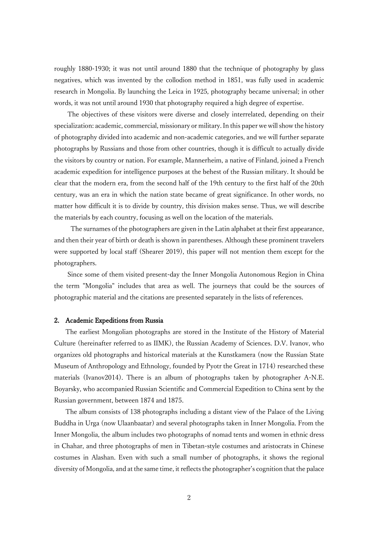roughly 1880-1930; it was not until around 1880 that the technique of photography by glass negatives, which was invented by the collodion method in 1851, was fully used in academic research in Mongolia. By launching the Leica in 1925, photography became universal; in other words, it was not until around 1930 that photography required a high degree of expertise.

The objectives of these visitors were diverse and closely interrelated, depending on their specialization: academic, commercial, missionary or military. In this paper we will show the history of photography divided into academic and non-academic categories, and we will further separate photographs by Russians and those from other countries, though it is difficult to actually divide the visitors by country or nation. For example, Mannerheim, a native of Finland, joined a French academic expedition for intelligence purposes at the behest of the Russian military. It should be clear that the modern era, from the second half of the 19th century to the first half of the 20th century, was an era in which the nation state became of great significance. In other words, no matter how difficult it is to divide by country, this division makes sense. Thus, we will describe the materials by each country, focusing as well on the location of the materials.

The surnames of the photographers are given in the Latin alphabet at their first appearance, and then their year of birth or death is shown in parentheses. Although these prominent travelers were supported by local staff (Shearer 2019), this paper will not mention them except for the photographers.

Since some of them visited present-day the Inner Mongolia Autonomous Region in China the term "Mongolia" includes that area as well. The journeys that could be the sources of photographic material and the citations are presented separately in the lists of references.

#### 2. Academic Expeditions from Russia

The earliest Mongolian photographs are stored in the Institute of the History of Material Culture (hereinafter referred to as IIMK), the Russian Academy of Sciences. D.V. Ivanov, who organizes old photographs and historical materials at the Kunstkamera (now the Russian State Museum of Anthropology and Ethnology, founded by Pyotr the Great in 1714) researched these materials (Ivanov2014). There is an album of photographs taken by photographer A-N.E. Boyarsky, who accompanied Russian Scientific and Commercial Expedition to China sent by the Russian government, between 1874 and 1875.

The album consists of 138 photographs including a distant view of the Palace of the Living Buddha in Urga (now Ulaanbaatar) and several photographs taken in Inner Mongolia. From the Inner Mongolia, the album includes two photographs of nomad tents and women in ethnic dress in Chahar, and three photographs of men in Tibetan-style costumes and aristocrats in Chinese costumes in Alashan. Even with such a small number of photographs, it shows the regional diversity of Mongolia, and at the same time, it reflects the photographer's cognition that the palace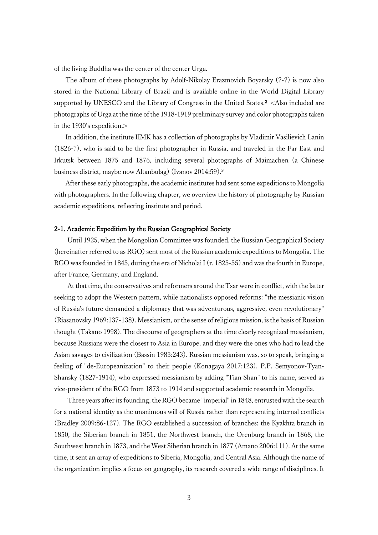of the living Buddha was the center of the center Urga.

The album of these photographs by Adolf-Nikolay Erazmovich Boyarsky (?-?) is now also stored in the National Library of Brazil and is available online in the World Digital Library supported by UNESCO and the Library of Congress in the United States. $\frac{2}{5}$  < Also included are photographs of Urga at the time of the 1918-1919 preliminary survey and color photographs taken in the 1930's expedition.>

In addition, the institute IIMK has a collection of photographs by Vladimir Vasilievich Lanin (1826-?), who is said to be the first photographer in Russia, and traveled in the Far East and Irkutsk between 1875 and 1876, including several photographs of Maimachen (a Chinese business district, maybe now Altanbulag) (Ivanov 2014:59).<sup>3</sup>

After these early photographs, the academic institutes had sent some expeditions to Mongolia with photographers. In the following chapter, we overview the history of photography by Russian academic expeditions, reflecting institute and period.

## 2-1. Academic Expedition by the Russian Geographical Society

Until 1925, when the Mongolian Committee was founded, the Russian Geographical Society (hereinafter referred to as RGO) sent most of the Russian academic expeditions to Mongolia. The RGO was founded in 1845, during the era of Nicholai I (r. 1825-55) and was the fourth in Europe, after France, Germany, and England.

At that time, the conservatives and reformers around the Tsar were in conflict, with the latter seeking to adopt the Western pattern, while nationalists opposed reforms: "the messianic vision of Russia's future demanded a diplomacy that was adventurous, aggressive, even revolutionary" (Riasanovsky 1969:137-138). Messianism, or the sense of religious mission, is the basis of Russian thought (Takano 1998). The discourse of geographers at the time clearly recognized messianism, because Russians were the closest to Asia in Europe, and they were the ones who had to lead the Asian savages to civilization (Bassin 1983:243). Russian messianism was, so to speak, bringing a feeling of "de-Europeanization" to their people (Konagaya 2017:123). P.P. Semyonov-Tyan-Shansky (1827-1914), who expressed messianism by adding "Tian Shan" to his name, served as vice-president of the RGO from 1873 to 1914 and supported academic research in Mongolia.

Three years after its founding, the RGO became "imperial" in 1848, entrusted with the search for a national identity as the unanimous will of Russia rather than representing internal conflicts (Bradley 2009:86-127). The RGO established a succession of branches: the Kyakhta branch in 1850, the Siberian branch in 1851, the Northwest branch, the Orenburg branch in 1868, the Southwest branch in 1873, and the West Siberian branch in 1877 (Amano 2006:111). At the same time, it sent an array of expeditions to Siberia, Mongolia, and Central Asia. Although the name of the organization implies a focus on geography, its research covered a wide range of disciplines. It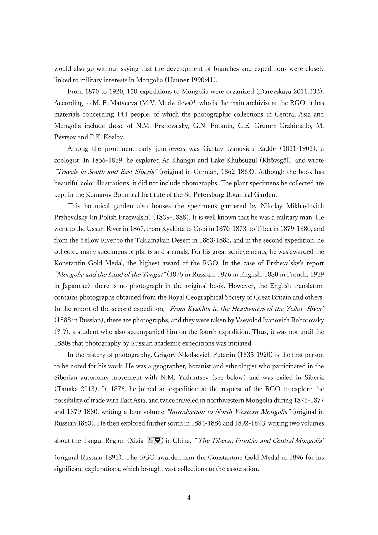would also go without saying that the development of branches and expeditions were closely linked to military interests in Mongolia (Hauner 1990:41).

From 1870 to 1920, 150 expeditions to Mongolia were organized (Darevskaya 2011:232). According to M. F. Matveeva (M.V. Medvedeva)<sup>4</sup>, who is the main archivist at the RGO, it has materials concerning 144 people, of which the photographic collections in Central Asia and Mongolia include those of N.M. Przhevalsky, G.N. Potanin, G.E. Grumm-Grzhimailo, M. Pevtsov and P.K. Kozlov.

Among the prominent early journeyers was Gustav Ivanovich Radde (1831-1903), a zoologist. In 1856-1859, he explored Ar Khangai and Lake Khubsugul (Khövsgöl), and wrote "Travels in South and East Siberia" (original in German, 1862-1863). Although the book has beautiful color illustrations, it did not include photographs. The plant specimens he collected are kept in the Komarov Botanical Institute of the St. Petersburg Botanical Garden.

This botanical garden also houses the specimens garnered by Nikolay Mikhaylovich Przhevalsky (in Polish Przewalski) (1839-1888). It is well known that he was a military man. He went to the Ussuri River in 1867, from Kyakhta to Gobi in 1870-1873, to Tibet in 1879-1880, and from the Yellow River to the Taklamakan Desert in 1883-1885, and in the second expedition, he collected many specimens of plants and animals. For his great achievements, he was awarded the Konstantin Gold Medal, the highest award of the RGO. In the case of Przhevalsky's report "Mongolia and the Land of the Tangut" (1875 in Russian, 1876 in English, 1880 in French, 1939 in Japanese), there is no photograph in the original book. However, the English translation contains photographs obtained from the Royal Geographical Society of Great Britain and others. In the report of the second expedition, "From Kyakhta to the Headwaters of the Yellow River" (1888 in Russian), there are photographs, and they were taken by Vsevolod Ivanovich Roborovsky (?-?), a student who also accompanied him on the fourth expedition. Thus, it was not until the 1880s that photography by Russian academic expeditions was initiated.

In the history of photography, Grigory Nikolaevich Potanin (1835-1920) is the first person to be noted for his work. He was a geographer, botanist and ethnologist who participated in the Siberian autonomy movement with N.M. Yadrintsev (see below) and was exiled in Siberia (Tanaka 2013). In 1876, he joined an expedition at the request of the RGO to explore the possibility of trade with East Asia, and twice traveled in northwestern Mongolia during 1876-1877 and 1879-1880, writing a four-volume *"Introduction to North Western Mongolia"* (original in Russian 1883). He then explored further south in 1884-1886 and 1892-1893, writing two volumes

about the Tangut Region (Xixia 西夏) in China, "*The Tibetan Frontier and Central Mongolia*"

(original Russian 1893). The RGO awarded him the Constantine Gold Medal in 1896 for his significant explorations, which brought vast collections to the association.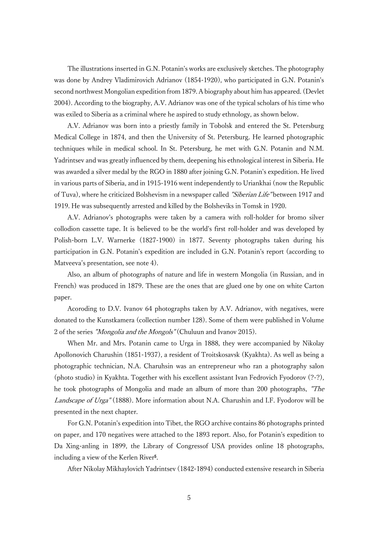The illustrations inserted in G.N. Potanin's works are exclusively sketches. The photography was done by Andrey Vladimirovich Adrianov (1854-1920), who participated in G.N. Potanin's second northwest Mongolian expedition from 1879. A biography about him has appeared. (Devlet 2004). According to the biography, A.V. Adrianov was one of the typical scholars of his time who was exiled to Siberia as a criminal where he aspired to study ethnology, as shown below.

A.V. Adrianov was born into a priestly family in Tobolsk and entered the St. Petersburg Medical College in 1874, and then the University of St. Petersburg. He learned photographic techniques while in medical school. In St. Petersburg, he met with G.N. Potanin and N.M. Yadrintsev and was greatly influenced by them, deepening his ethnological interest in Siberia. He was awarded a silver medal by the RGO in 1880 after joining G.N. Potanin's expedition. He lived in various parts of Siberia, and in 1915-1916 went independently to Uriankhai (now the Republic of Tuva), where he criticized Bolshevism in a newspaper called *"Siberian Life"* between 1917 and 1919. He was subsequently arrested and killed by the Bolsheviks in Tomsk in 1920.

A.V. Adrianov's photographs were taken by a camera with roll-holder for bromo silver collodion cassette tape. It is believed to be the world's first roll-holder and was developed by Polish-born L.V. Warnerke (1827-1900) in 1877. Seventy photographs taken during his participation in G.N. Potanin's expedition are included in G.N. Potanin's report (according to Matveeva's presentation, see note 4).

Also, an album of photographs of nature and life in western Mongolia (in Russian, and in French) was produced in 1879. These are the ones that are glued one by one on white Carton paper.

Acoroding to D.V. Ivanov 64 photographs taken by A.V. Adrianov, with negatives, were donated to the Kunstkamera (collection number 128). Some of them were published in Volume 2 of the series "Mongolia and the Mongols" (Chuluun and Ivanov 2015).

When Mr. and Mrs. Potanin came to Urga in 1888, they were accompanied by Nikolay Apollonovich Charushin (1851-1937), a resident of Troitskosavsk (Kyakhta). As well as being a photographic technician, N.A. Charuhsin was an entrepreneur who ran a photography salon (photo studio) in Kyakhta. Together with his excellent assistant Ivan Fedrovich Fyodorov (?-?), he took photographs of Mongolia and made an album of more than 200 photographs, "The Landscape of Urga" (1888). More information about N.A. Charushin and I.F. Fyodorov will be presented in the next chapter.

For G.N. Potanin's expedition into Tibet, the RGO archive contains 86 photographs printed on paper, and 170 negatives were attached to the 1893 report. Also, for Potanin's expedition to Da Xing-anling in 1899, the Library of Congressof USA provides online 18 photographs, including a view of the Kerlen River<sup>5</sup>.

After Nikolay Mikhaylovich Yadrintsev (1842-1894) conducted extensive research in Siberia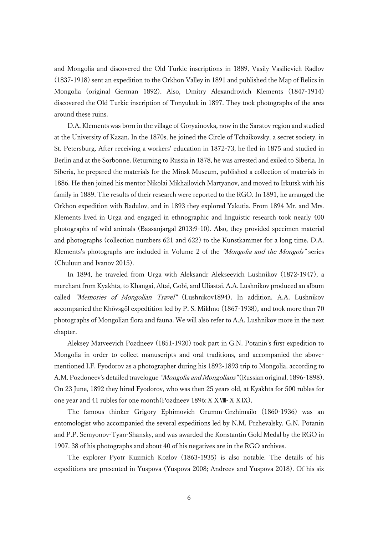and Mongolia and discovered the Old Turkic inscriptions in 1889, Vasily Vasilievich Radlov (1837-1918) sent an expedition to the Orkhon Valley in 1891 and published the Map of Relics in Mongolia (original German 1892). Also, Dmitry Alexandrovich Klements (1847-1914) discovered the Old Turkic inscription of Tonyukuk in 1897. They took photographs of the area around these ruins.

D.A. Klements was born in the village of Goryainovka, now in the Saratov region and studied at the University of Kazan. In the 1870s, he joined the Circle of Tchaikovsky, a secret society, in St. Petersburg. After receiving a workers' education in 1872-73, he fled in 1875 and studied in Berlin and at the Sorbonne. Returning to Russia in 1878, he was arrested and exiled to Siberia. In Siberia, he prepared the materials for the Minsk Museum, published a collection of materials in 1886. He then joined his mentor Nikolai Mikhailovich Martyanov, and moved to Irkutsk with his family in 1889. The results of their research were reported to the RGO. In 1891, he arranged the Orkhon expedition with Radulov, and in 1893 they explored Yakutia. From 1894 Mr. and Mrs. Klements lived in Urga and engaged in ethnographic and linguistic research took nearly 400 photographs of wild animals (Baasanjargal 2013:9-10). Also, they provided specimen material and photographs (collection numbers 621 and 622) to the Kunstkammer for a long time. D.A. Klements's photographs are included in Volume 2 of the *"Mongolia and the Mongols"* series (Chuluun and Ivanov 2015).

In 1894, he traveled from Urga with Aleksandr Alekseevich Lushnikov (1872-1947), a merchant from Kyakhta, to Khangai, Altai, Gobi, and Uliastai. A.A. Lushnikov produced an album called *"Memories of Mongolian Travel"* (Lushnikov1894). In addition, A.A. Lushnikov accompanied the Khövsgöl expedtition led by P. S. Mikhno (1867-1938), and took more than 70 photographs of Mongolian flora and fauna. We will also refer to A.A. Lushnikov more in the next chapter.

Aleksey Matveevich Pozdneev (1851-1920) took part in G.N. Potanin's first expedition to Mongolia in order to collect manuscripts and oral traditions, and accompanied the abovementioned I.F. Fyodorov as a photographer during his 1892-1893 trip to Mongolia, according to A.M. Pozdoneev's detailed travelogue *"Mongolia and Mongolians"* (Russian original, 1896-1898). On 23 June, 1892 they hired Fyodorov, who was then 25 years old, at Kyakhta for 500 rubles for one year and 41 rubles for one month(Pozdneev 1896:ⅩⅩⅧ-ⅩⅩⅨ).

The famous thinker Grigory Ephimovich Grumm-Grzhimailo (1860-1936) was an entomologist who accompanied the several expeditions led by N.M. Przhevalsky, G.N. Potanin and P.P. Semyonov-Tyan-Shansky, and was awarded the Konstantin Gold Medal by the RGO in 1907. 38 of his photographs and about 40 of his negatives are in the RGO archives.

The explorer Pyotr Kuzmich Kozlov (1863-1935) is also notable. The details of his expeditions are presented in Yuspova (Yuspova 2008; Andreev and Yuspova 2018). Of his six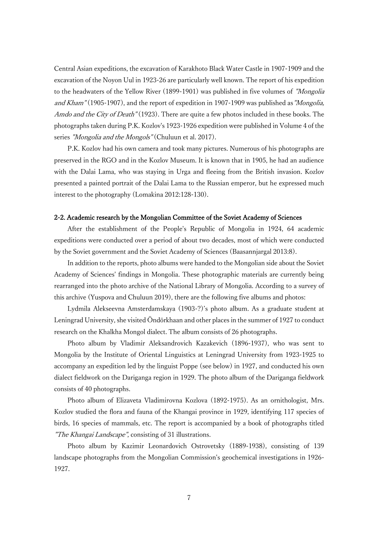Central Asian expeditions, the excavation of Karakhoto Black Water Castle in 1907-1909 and the excavation of the Noyon Uul in 1923-26 are particularly well known. The report of his expedition to the headwaters of the Yellow River (1899-1901) was published in five volumes of "Mongolia and Kham" (1905-1907), and the report of expedition in 1907-1909 was published as "Mongolia, Amdo and the City of Death" (1923). There are quite a few photos included in these books. The photographs taken during P.K. Kozlov's 1923-1926 expedition were published in Volume 4 of the series *"Mongolia and the Mongols"* (Chuluun et al. 2017).

P.K. Kozlov had his own camera and took many pictures. Numerous of his photographs are preserved in the RGO and in the Kozlov Museum. It is known that in 1905, he had an audience with the Dalai Lama, who was staying in Urga and fleeing from the British invasion. Kozlov presented a painted portrait of the Dalai Lama to the Russian emperor, but he expressed much interest to the photography (Lomakina 2012:128-130).

## 2-2. Academic research by the Mongolian Committee of the Soviet Academy of Sciences

After the establishment of the People's Republic of Mongolia in 1924, 64 academic expeditions were conducted over a period of about two decades, most of which were conducted by the Soviet government and the Soviet Academy of Sciences (Baasannjargal 2013:8).

In addition to the reports, photo albums were handed to the Mongolian side about the Soviet Academy of Sciences' findings in Mongolia. These photographic materials are currently being rearranged into the photo archive of the National Library of Mongolia. According to a survey of this archive (Yuspova and Chuluun 2019), there are the following five albums and photos:

Lydmila Alekseevna Amsterdamskaya (1903-?)'s photo album. As a graduate student at Leningrad University, she visited Öndörkhaan and other places in the summer of 1927 to conduct research on the Khalkha Mongol dialect. The album consists of 26 photographs.

Photo album by Vladimir Aleksandrovich Kazakevich (1896-1937), who was sent to Mongolia by the Institute of Oriental Linguistics at Leningrad University from 1923-1925 to accompany an expedition led by the linguist Poppe (see below) in 1927, and conducted his own dialect fieldwork on the Dariganga region in 1929. The photo album of the Dariganga fieldwork consists of 40 photographs.

Photo album of Elizaveta Vladimirovna Kozlova (1892-1975). As an ornithologist, Mrs. Kozlov studied the flora and fauna of the Khangai province in 1929, identifying 117 species of birds, 16 species of mammals, etc. The report is accompanied by a book of photographs titled "The Khangai Landscape", consisting of 31 illustrations.

Photo album by Kazimir Leonardovich Ostrovetsky (1889-1938), consisting of 139 landscape photographs from the Mongolian Commission's geochemical investigations in 1926- 1927.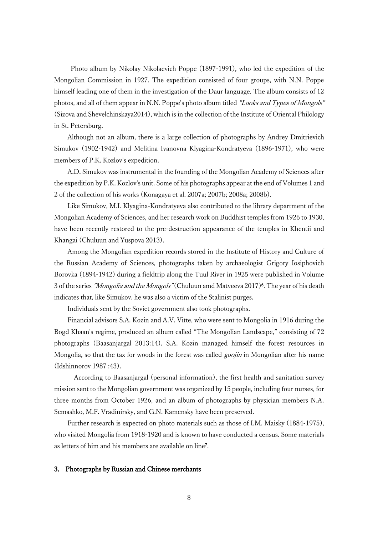Photo album by Nikolay Nikolaevich Poppe (1897-1991), who led the expedition of the Mongolian Commission in 1927. The expedition consisted of four groups, with N.N. Poppe himself leading one of them in the investigation of the Daur language. The album consists of 12 photos, and all of them appear in N.N. Poppe's photo album titled "Looks and Types of Mongols" (Sizova and Shevelchinskaya2014), which is in the collection of the Institute of Oriental Philology in St. Petersburg.

Although not an album, there is a large collection of photographs by Andrey Dmitrievich Simukov (1902-1942) and Melitina Ivanovna Klyagina-Kondratyeva (1896-1971), who were members of P.K. Kozlov's expedition.

A.D. Simukov was instrumental in the founding of the Mongolian Academy of Sciences after the expedition by P.K. Kozlov's unit. Some of his photographs appear at the end of Volumes 1 and 2 of the collection of his works (Konagaya et al. 2007a; 2007b; 2008a; 2008b).

Like Simukov, M.I. Klyagina-Kondratyeva also contributed to the library department of the Mongolian Academy of Sciences, and her research work on Buddhist temples from 1926 to 1930, have been recently restored to the pre-destruction appearance of the temples in Khentii and Khangai (Chuluun and Yuspova 2013).

Among the Mongolian expedition records stored in the Institute of History and Culture of the Russian Academy of Sciences, photographs taken by archaeologist Grigory Iosiphovich Borovka (1894-1942) during a fieldtrip along the Tuul River in 1925 were published in Volume 3 of the series *"Mongolia and the Mongols"* (Chuluun amd Matveeva 2017)<sup>6</sup>. The year of his death indicates that, like Simukov, he was also a victim of the Stalinist purges.

Individuals sent by the Soviet government also took photographs.

Financial advisors S.A. Kozin and A.V. Vitte, who were sent to Mongolia in 1916 during the Bogd Khaan's regime, produced an album called "The Mongolian Landscape," consisting of 72 photographs (Baasanjargal 2013:14). S.A. Kozin managed himself the forest resources in Mongolia, so that the tax for woods in the forest was called *goojin* in Mongolian after his name (Idshinnorov 1987 :43).

According to Baasanjargal (personal information), the first health and sanitation survey mission sent to the Mongolian government was organized by 15 people, including four nurses, for three months from October 1926, and an album of photographs by physician members N.A. Semashko, M.F. Vradinirsky, and G.N. Kamensky have been preserved.

Further research is expected on photo materials such as those of I.M. Maisky (1884-1975), who visited Mongolia from 1918-1920 and is known to have conducted a census. Some materials as letters of him and his members are available on line<sup>7</sup> .

## 3. Photographs by Russian and Chinese merchants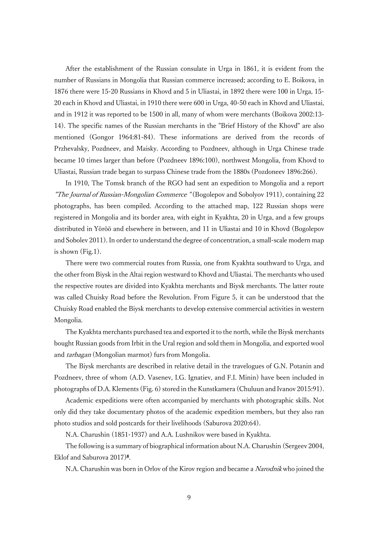After the establishment of the Russian consulate in Urga in 1861, it is evident from the number of Russians in Mongolia that Russian commerce increased; according to E. Boikova, in 1876 there were 15-20 Russians in Khovd and 5 in Uliastai, in 1892 there were 100 in Urga, 15- 20 each in Khovd and Uliastai, in 1910 there were 600 in Urga, 40-50 each in Khovd and Uliastai, and in 1912 it was reported to be 1500 in all, many of whom were merchants (Boikova 2002:13- 14). The specific names of the Russian merchants in the "Brief History of the Khovd" are also mentioned (Gongor 1964:81-84). These informations are derived from the records of Przhevalsky, Pozdneev, and Maisky. According to Pozdneev, although in Urga Chinese trade became 10 times larger than before (Pozdneev 1896:100), northwest Mongolia, from Khovd to Uliastai, Russian trade began to surpass Chinese trade from the 1880s (Pozdoneev 1896:266).

In 1910, The Tomsk branch of the RGO had sent an expedition to Mongolia and a report "The Journal of Russian-Mongolian Commerce " (Bogolepov and Sobolyov 1911), containing 22 photographs, has been compiled. According to the attached map, 122 Russian shops were registered in Mongolia and its border area, with eight in Kyakhta, 20 in Urga, and a few groups distributed in Yöröö and elsewhere in between, and 11 in Uliastai and 10 in Khovd (Bogolepov and Sobolev 2011). In order to understand the degree of concentration, a small-scale modern map is shown (Fig.1).

There were two commercial routes from Russia, one from Kyakhta southward to Urga, and the other from Biysk in the Altai region westward to Khovd and Uliastai. The merchants who used the respective routes are divided into Kyakhta merchants and Biysk merchants. The latter route was called Chuisky Road before the Revolution. From Figure 5, it can be understood that the Chuisky Road enabled the Biysk merchants to develop extensive commercial activities in western Mongolia.

The Kyakhta merchants purchased tea and exported it to the north, while the Biysk merchants bought Russian goods from Irbit in the Ural region and sold them in Mongolia, and exported wool and *tarbagan* (Mongolian marmot) furs from Mongolia.

The Biysk merchants are described in relative detail in the travelogues of G.N. Potanin and Pozdneev, three of whom (A.D. Vasenev, I.G. Ignatiev, and F.I. Minin) have been included in photographs of D.A. Klements (Fig. 6) stored in the Kunstkamera (Chuluun and Ivanov 2015:91).

Academic expeditions were often accompanied by merchants with photographic skills. Not only did they take documentary photos of the academic expedition members, but they also ran photo studios and sold postcards for their livelihoods (Saburova 2020:64).

N.A. Charushin (1851-1937) and A.A. Lushnikov were based in Kyakhta.

The following is a summary of biographical information about N.A. Charushin (Sergeev 2004, Eklof and Saburova 2017)<sup>8</sup> .

N.A. Charushin was born in Orlov of the Kirov region and became a Narodnik who joined the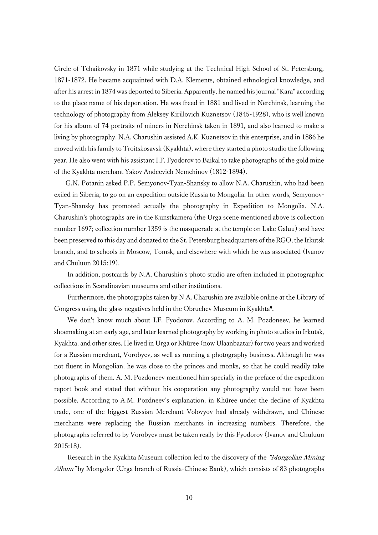Circle of Tchaikovsky in 1871 while studying at the Technical High School of St. Petersburg, 1871-1872. He became acquainted with D.A. Klements, obtained ethnological knowledge, and after his arrest in 1874 was deported to Siberia. Apparently, he named his journal "Kara" according to the place name of his deportation. He was freed in 1881 and lived in Nerchinsk, learning the technology of photography from Aleksey Kirillovich Kuznetsov (1845-1928), who is well known for his album of 74 portraits of miners in Nerchinsk taken in 1891, and also learned to make a living by photography. N.A. Charushin assisted A.K. Kuznetsov in this enterprise, and in 1886 he moved with his family to Troitskosavsk (Kyakhta), where they started a photo studio the following year. He also went with his assistant I.F. Fyodorov to Baikal to take photographs of the gold mine of the Kyakhta merchant Yakov Andeevich Nemchinov (1812-1894).

G.N. Potanin asked P.P. Semyonov-Tyan-Shansky to allow N.A. Charushin, who had been exiled in Siberia, to go on an expedition outside Russia to Mongolia. In other words, Semyonov-Tyan-Shansky has promoted actually the photography in Expedition to Mongolia. N.A. Charushin's photographs are in the Kunstkamera (the Urga scene mentioned above is collection number 1697; collection number 1359 is the masquerade at the temple on Lake Galuu) and have been preserved to this day and donated to the St. Petersburg headquarters of the RGO, the Irkutsk branch, and to schools in Moscow, Tomsk, and elsewhere with which he was associated (Ivanov and Chuluun 2015:19).

In addition, postcards by N.A. Charushin's photo studio are often included in photographic collections in Scandinavian museums and other institutions.

Furthermore, the photographs taken by N.A. Charushin are available online at the Library of Congress using the glass negatives held in the Obruchev Museum in Kyakhta<sup>9</sup> .

We don't know much about I.F. Fyodorov. According to A. M. Pozdoneev, he learned shoemaking at an early age, and later learned photography by working in photo studios in Irkutsk, Kyakhta, and other sites. He lived in Urga or Khüree (now Ulaanbaatar) for two years and worked for a Russian merchant, Vorobyev, as well as running a photography business. Although he was not fluent in Mongolian, he was close to the princes and monks, so that he could readily take photographs of them. A. M. Pozdoneev mentioned him specially in the preface of the expedition report book and stated that without his cooperation any photography would not have been possible. According to A.M. Pozdneev's explanation, in Khüree under the decline of Kyakhta trade, one of the biggest Russian Merchant Volovyov had already withdrawn, and Chinese merchants were replacing the Russian merchants in increasing numbers. Therefore, the photographs referred to by Vorobyev must be taken really by this Fyodorov (Ivanov and Chuluun 2015:18).

Research in the Kyakhta Museum collection led to the discovery of the *"Mongolian Mining*" Album" by Mongolor (Urga branch of Russia-Chinese Bank), which consists of 83 photographs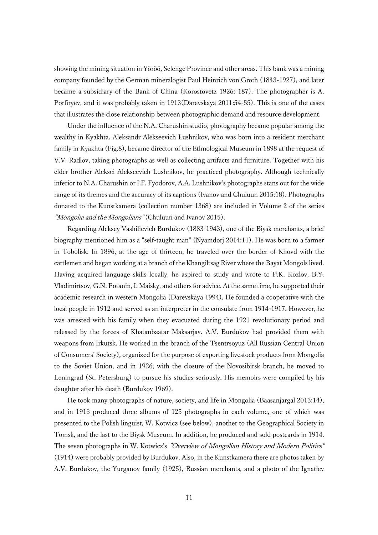showing the mining situation in Yöröö, Selenge Province and other areas. This bank was a mining company founded by the German mineralogist Paul Heinrich von Groth (1843-1927), and later became a subsidiary of the Bank of China (Korostovetz 1926: 187). The photographer is A. Porfiryev, and it was probably taken in 1913(Darevskaya 2011:54-55). This is one of the cases that illustrates the close relationship between photographic demand and resource development.

Under the influence of the N.A. Charushin studio, photography became popular among the wealthy in Kyakhta. Aleksandr Alekseevich Lushnikov, who was born into a resident merchant family in Kyakhta (Fig.8), became director of the Ethnological Museum in 1898 at the request of V.V. Radlov, taking photographs as well as collecting artifacts and furniture. Together with his elder brother Aleksei Alekseevich Lushnikov, he practiced photography. Although technically inferior to N.A. Charushin or I.F. Fyodorov, A.A. Lushnikov's photographs stans out for the wide range of its themes and the accuracy of its captions (Ivanov and Chuluun 2015:18). Photographs donated to the Kunstkamera (collection number 1368) are included in Volume 2 of the series "Mongolia and the Mongolians" (Chuluun and Ivanov 2015).

Regarding Aleksey Vashilievich Burdukov (1883-1943), one of the Biysk merchants, a brief biography mentioned him as a "self-taught man" (Nyamdorj 2014:11). He was born to a farmer in Tobolisk. In 1896, at the age of thirteen, he traveled over the border of Khovd with the cattlemen and began working at a branch of the Khangiltsag River where the Bayat Mongols lived. Having acquired language skills locally, he aspired to study and wrote to P.K. Kozlov, B.Y. Vladimirtsov, G.N. Potanin, I. Maisky, and others for advice. At the same time, he supported their academic research in western Mongolia (Darevskaya 1994). He founded a cooperative with the local people in 1912 and served as an interpreter in the consulate from 1914-1917. However, he was arrested with his family when they evacuated during the 1921 revolutionary period and released by the forces of Khatanbaatar Maksarjav. A.V. Burdukov had provided them with weapons from Irkutsk. He worked in the branch of the Tsentrsoyuz (All Russian Central Union of Consumers' Society), organized for the purpose of exporting livestock products from Mongolia to the Soviet Union, and in 1926, with the closure of the Novosibirsk branch, he moved to Leningrad (St. Petersburg) to pursue his studies seriously. His memoirs were compiled by his daughter after his death (Burdukov 1969).

He took many photographs of nature, society, and life in Mongolia (Baasanjargal 2013:14), and in 1913 produced three albums of 125 photographs in each volume, one of which was presented to the Polish linguist, W. Kotwicz (see below), another to the Geographical Society in Tomsk, and the last to the Biysk Museum. In addition, he produced and sold postcards in 1914. The seven photographs in W. Kotwicz's "Overview of Mongolian History and Modern Politics" (1914) were probably provided by Burdukov. Also, in the Kunstkamera there are photos taken by A.V. Burdukov, the Yurganov family (1925), Russian merchants, and a photo of the Ignatiev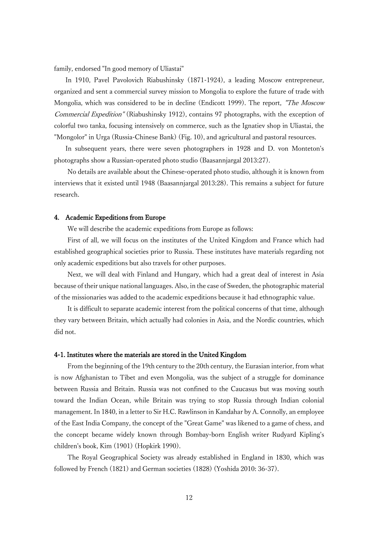family, endorsed "In good memory of Uliastai"

In 1910, Pavel Pavolovich Riabushinsky (1871-1924), a leading Moscow entrepreneur, organized and sent a commercial survey mission to Mongolia to explore the future of trade with Mongolia, which was considered to be in decline (Endicott 1999). The report, "The Moscow Commercial Expedition" (Riabushinsky 1912), contains 97 photographs, with the exception of colorful two tanka, focusing intensively on commerce, such as the Ignatiev shop in Uliastai, the "Mongolor" in Urga (Russia-Chinese Bank) (Fig. 10), and agricultural and pastoral resources.

In subsequent years, there were seven photographers in 1928 and D. von Monteton's photographs show a Russian-operated photo studio (Baasannjargal 2013:27).

No details are available about the Chinese-operated photo studio, although it is known from interviews that it existed until 1948 (Baasannjargal 2013:28). This remains a subject for future research.

### 4. Academic Expeditions from Europe

We will describe the academic expeditions from Europe as follows:

First of all, we will focus on the institutes of the United Kingdom and France which had established geographical societies prior to Russia. These institutes have materials regarding not only academic expeditions but also travels for other purposes.

Next, we will deal with Finland and Hungary, which had a great deal of interest in Asia because of their unique national languages. Also, in the case of Sweden, the photographic material of the missionaries was added to the academic expeditions because it had ethnographic value.

It is difficult to separate academic interest from the political concerns of that time, although they vary between Britain, which actually had colonies in Asia, and the Nordic countries, which did not.

#### 4-1. Institutes where the materials are stored in the United Kingdom

From the beginning of the 19th century to the 20th century, the Eurasian interior, from what is now Afghanistan to Tibet and even Mongolia, was the subject of a struggle for dominance between Russia and Britain. Russia was not confined to the Caucasus but was moving south toward the Indian Ocean, while Britain was trying to stop Russia through Indian colonial management. In 1840, in a letter to Sir H.C. Rawlinson in Kandahar by A. Connolly, an employee of the East India Company, the concept of the "Great Game" was likened to a game of chess, and the concept became widely known through Bombay-born English writer Rudyard Kipling's children's book, Kim (1901) (Hopkirk 1990).

The Royal Geographical Society was already established in England in 1830, which was followed by French (1821) and German societies (1828) (Yoshida 2010: 36-37).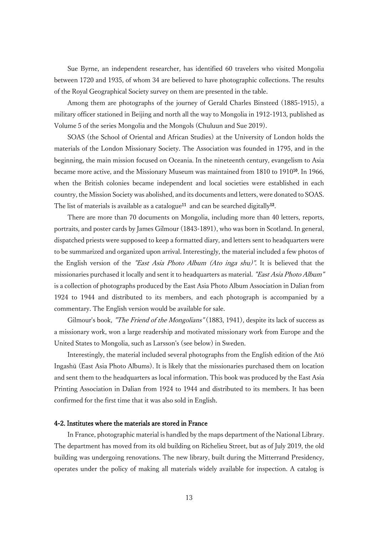Sue Byrne, an independent researcher, has identified 60 travelers who visited Mongolia between 1720 and 1935, of whom 34 are believed to have photographic collections. The results of the Royal Geographical Society survey on them are presented in the table.

Among them are photographs of the journey of Gerald Charles Binsteed (1885-1915), a military officer stationed in Beijing and north all the way to Mongolia in 1912-1913, published as Volume 5 of the series Mongolia and the Mongols (Chuluun and Sue 2019).

SOAS (the School of Oriental and African Studies) at the University of London holds the materials of the London Missionary Society. The Association was founded in 1795, and in the beginning, the main mission focused on Oceania. In the nineteenth century, evangelism to Asia became more active, and the Missionary Museum was maintained from 1810 to 1910<sup>10</sup>. In 1966, when the British colonies became independent and local societies were established in each country, the Mission Society was abolished, and its documents and letters, were donated to SOAS. The list of materials is available as a catalogue<sup>11</sup> and can be searched digitally<sup>12</sup>.

There are more than 70 documents on Mongolia, including more than 40 letters, reports, portraits, and poster cards by James Gilmour (1843-1891), who was born in Scotland. In general, dispatched priests were supposed to keep a formatted diary, and letters sent to headquarters were to be summarized and organized upon arrival. Interestingly, the material included a few photos of the English version of the "East Asia Photo Album (Ato inga shu)". It is believed that the missionaries purchased it locally and sent it to headquarters as material. "East Asia Photo Album" is a collection of photographs produced by the East Asia Photo Album Association in Dalian from 1924 to 1944 and distributed to its members, and each photograph is accompanied by a commentary. The English version would be available for sale.

Gilmour's book, "The Friend of the Mongolians" (1883, 1941), despite its lack of success as a missionary work, won a large readership and motivated missionary work from Europe and the United States to Mongolia, such as Larsson's (see below) in Sweden.

Interestingly, the material included several photographs from the English edition of the Atō Ingashū (East Asia Photo Albums). It is likely that the missionaries purchased them on location and sent them to the headquarters as local information. This book was produced by the East Asia Printing Association in Dalian from 1924 to 1944 and distributed to its members. It has been confirmed for the first time that it was also sold in English.

## 4-2. Institutes where the materials are stored in France

In France, photographic material is handled by the maps department of the National Library. The department has moved from its old building on Richelieu Street, but as of July 2019, the old building was undergoing renovations. The new library, built during the Mitterrand Presidency, operates under the policy of making all materials widely available for inspection. A catalog is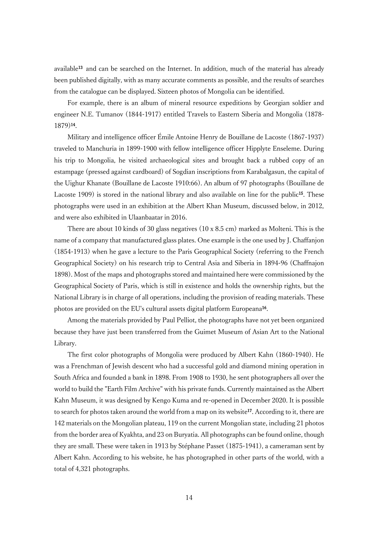available<sup>13</sup> and can be searched on the Internet. In addition, much of the material has already been published digitally, with as many accurate comments as possible, and the results of searches from the catalogue can be displayed. Sixteen photos of Mongolia can be identified.

For example, there is an album of mineral resource expeditions by Georgian soldier and engineer N.E. Tumanov (1844-1917) entitled Travels to Eastern Siberia and Mongolia (1878- 1879)<sup>14</sup> .

Military and intelligence officer Émile Antoine Henry de Bouillane de Lacoste (1867-1937) traveled to Manchuria in 1899-1900 with fellow intelligence officer Hipplyte Enseleme. During his trip to Mongolia, he visited archaeological sites and brought back a rubbed copy of an estampage (pressed against cardboard) of Sogdian inscriptions from Karabalgasun, the capital of the Uighur Khanate (Bouillane de Lacoste 1910:66). An album of 97 photographs (Bouillane de Lacoste 1909) is stored in the national library and also available on line for the public<sup>15</sup>. These photographs were used in an exhibition at the Albert Khan Museum, discussed below, in 2012, and were also exhibited in Ulaanbaatar in 2016.

There are about 10 kinds of 30 glass negatives (10 x 8.5 cm) marked as Molteni. This is the name of a company that manufactured glass plates. One example is the one used by J. Chaffanjon (1854-1913) when he gave a lecture to the Paris Geographical Society (referring to the French Geographical Society) on his research trip to Central Asia and Siberia in 1894-96 (Chaffnajon 1898). Most of the maps and photographs stored and maintained here were commissioned by the Geographical Society of Paris, which is still in existence and holds the ownership rights, but the National Library is in charge of all operations, including the provision of reading materials. These photos are provided on the EU's cultural assets digital platform Europeana<sup>16</sup>.

Among the materials provided by Paul Pelliot, the photographs have not yet been organized because they have just been transferred from the Guimet Museum of Asian Art to the National Library.

The first color photographs of Mongolia were produced by Albert Kahn (1860-1940). He was a Frenchman of Jewish descent who had a successful gold and diamond mining operation in South Africa and founded a bank in 1898. From 1908 to 1930, he sent photographers all over the world to build the "Earth Film Archive" with his private funds. Currently maintained as the Albert Kahn Museum, it was designed by Kengo Kuma and re-opened in December 2020. It is possible to search for photos taken around the world from a map on its website<sup>17</sup>. According to it, there are 142 materials on the Mongolian plateau, 119 on the current Mongolian state, including 21 photos from the border area of Kyakhta, and 23 on Buryatia. All photographs can be found online, though they are small. These were taken in 1913 by Stéphane Passet (1875-1941), a cameraman sent by Albert Kahn. According to his website, he has photographed in other parts of the world, with a total of 4,321 photographs.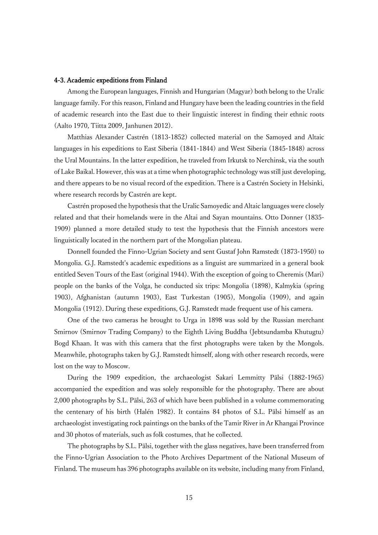#### 4-3. Academic expeditions from Finland

Among the European languages, Finnish and Hungarian (Magyar) both belong to the Uralic language family. For this reason, Finland and Hungary have been the leading countries in the field of academic research into the East due to their linguistic interest in finding their ethnic roots (Aalto 1970, Tiitta 2009, Janhunen 2012).

Matthias Alexander Castrén (1813-1852) collected material on the Samoyed and Altaic languages in his expeditions to East Siberia (1841-1844) and West Siberia (1845-1848) across the Ural Mountains. In the latter expedition, he traveled from Irkutsk to Nerchinsk, via the south of Lake Baikal. However, this was at a time when photographic technology was still just developing, and there appears to be no visual record of the expedition. There is a Castrén Society in Helsinki, where research records by Castrén are kept.

Castrén proposed the hypothesis that the Uralic Samoyedic and Altaic languages were closely related and that their homelands were in the Altai and Sayan mountains. Otto Donner (1835- 1909) planned a more detailed study to test the hypothesis that the Finnish ancestors were linguistically located in the northern part of the Mongolian plateau.

Donnell founded the Finno-Ugrian Society and sent Gustaf John Ramstedt (1873-1950) to Mongolia. G.J. Ramstedt's academic expeditions as a linguist are summarized in a general book entitled Seven Tours of the East (original 1944). With the exception of going to Cheremis (Mari) people on the banks of the Volga, he conducted six trips: Mongolia (1898), Kalmykia (spring 1903), Afghanistan (autumn 1903), East Turkestan (1905), Mongolia (1909), and again Mongolia (1912). During these expeditions, G.J. Ramstedt made frequent use of his camera.

One of the two cameras he brought to Urga in 1898 was sold by the Russian merchant Smirnov (Smirnov Trading Company) to the Eighth Living Buddha (Jebtsundamba Khutugtu) Bogd Khaan. It was with this camera that the first photographs were taken by the Mongols. Meanwhile, photographs taken by G.J. Ramstedt himself, along with other research records, were lost on the way to Moscow.

During the 1909 expedition, the archaeologist Sakari Lemmitty Pälsi (1882-1965) accompanied the expedition and was solely responsible for the photography. There are about 2,000 photographs by S.L. Pälsi, 263 of which have been published in a volume commemorating the centenary of his birth (Halén 1982). It contains 84 photos of S.L. Pälsi himself as an archaeologist investigating rock paintings on the banks of the Tamir River in Ar Khangai Province and 30 photos of materials, such as folk costumes, that he collected.

The photographs by S.L. Pälsi, together with the glass negatives, have been transferred from the Finno-Ugrian Association to the Photo Archives Department of the National Museum of Finland. The museum has 396 photographs available on its website, including many from Finland,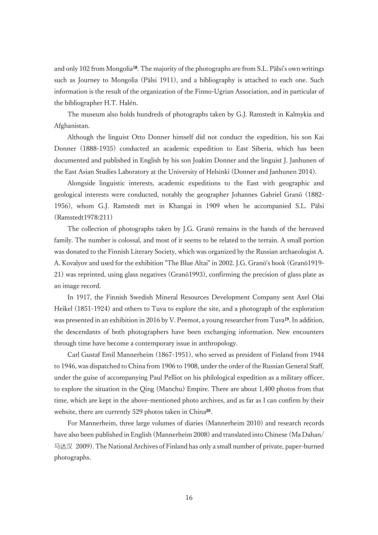and only 102 from Mongolia18. The majority of the photographs are from S.L. Pälsi's own writings such as Journey to Mongolia (Pälsi 1911), and a bibliography is attached to each one. Such information is the result of the organization of the Finno-Ugrian Association, and in particular of the bibliographer H.T. Halén.

The museum also holds hundreds of photographs taken by G.J. Ramstedt in Kalmykia and Afghanistan.

Although the linguist Otto Donner himself did not conduct the expedition, his son Kai Donner (1888-1935) conducted an academic expedition to East Siberia, which has been documented and published in English by his son Joakim Donner and the linguist J. Janhunen of the East Asian Studies Laboratory at the University of Helsinki (Donner and Janhunen 2014).

Alongside linguistic interests, academic expeditions to the East with geographic and geological interests were conducted, notably the geographer Johannes Gabriel Granö (1882- 1956), whom G.J. Ramstedt met in Khangai in 1909 when he accompanied S.L. Pälsi (Ramstedt1978:211)

The collection of photographs taken by J.G. Granö remains in the hands of the bereaved family. The number is colossal, and most of it seems to be related to the terrain. A small portion was donated to the Finnish Literary Society, which was organized by the Russian archaeologist A. A. Kovalyov and used for the exhibition "The Blue Altai" in 2002. J.G. Granö's book (Granö1919- 21) was reprinted, using glass negatives (Granö1993), confirming the precision of glass plate as an image record.

In 1917, the Finnish Swedish Mineral Resources Development Company sent Axel Olai Heikel (1851-1924) and others to Tuva to explore the site, and a photograph of the exploration was presented in an exhibition in 2016 by V. Peemot, a young researcher from Tuva<sup>19</sup>. In addition, the descendants of both photographers have been exchanging information. New encounters through time have become a contemporary issue in anthropology.

Carl Gustaf Emil Mannerheim (1867-1951), who served as president of Finland from 1944 to 1946, was dispatched to China from 1906 to 1908, under the order of the Russian General Staff, under the guise of accompanying Paul Pelliot on his philological expedition as a military officer, to explore the situation in the Qing (Manchu) Empire. There are about 1,400 photos from that time, which are kept in the above-mentioned photo archives, and as far as I can confirm by their website, there are currently 529 photos taken in China<sup>20</sup>.

For Mannerheim, three large volumes of diaries (Mannerheim 2010) and research records have also been published in English (Mannerheim 2008) and translated into Chinese (Ma Dahan/ 马达汉 2009). The National Archives of Finland has only a small number of private, paper-burned photographs.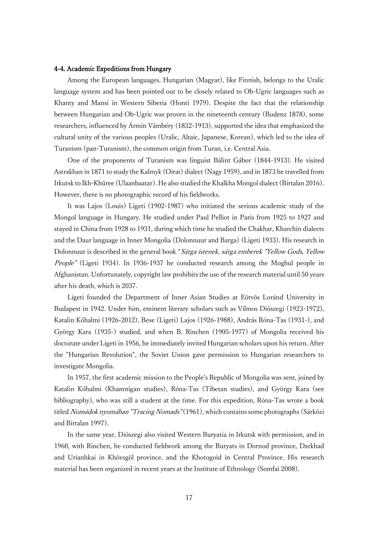## 4-4. Academic Expeditions from Hungary

Among the European languages, Hungarian (Magyar), like Finnish, belongs to the Uralic language system and has been pointed out to be closely related to Ob-Ugric languages such as Khanty and Mansi in Western Siberia (Honti 1979). Despite the fact that the relationship between Hungarian and Ob-Ugric was proven in the nineteenth century (Budenz 1878), some researchers, influenced by Ármin Vámbéry (1832-1913), supported the idea that emphasized the cultural unity of the various peoples (Uralic, Altaic, Japanese, Korean), which led to the idea of Turanism (pan-Turanism), the common origin from Turan, i.e. Central Asia.

One of the proponents of Turanism was linguist Bálint Gábor (1844-1913). He visited Astrakhan in 1871 to study the Kalmyk (Oirat) dialect (Nagy 1959), and in 1873 he travelled from Irkutsk to Ikh-Khüree (Ulaanbaatar). He also studied the Khalkha Mongol dialect (Birtalan 2016). However, there is no photographic record of his fieldworks.

It was Lajos (Louis) Ligeti (1902-1987) who initiated the serious academic study of the Mongol language in Hungary. He studied under Paul Pelliot in Paris from 1925 to 1927 and stayed in China from 1928 to 1931, during which time he studied the Chakhar, Kharchin dialects and the Daur language in Inner Mongolia (Dolonnuur and Barga) (Ligeti 1933). His research in Dolonnuur is described in the general book "Sárga istenek, sárga emberek "Yellow Gods, Yellow People" (Ligeti 1934). In 1936-1937 he conducted research among the Moghul people in Afghanistan. Unfortunately, copyright law prohibits the use of the research material until 50 years after his death, which is 2037.

Ligeti founded the Department of Inner Asian Studies at Eötvös Loránd University in Budapest in 1942. Under him, eminent literary scholars such as Vilmos Diószegi (1923-1972), Katalin Kőhalmi (1926-2012), Bese (Ligeti) Lajos (1926-1988), András Róna-Tas (1931-), and György Kara (1935-) studied, and when B. Rinchen (1905-1977) of Mongolia received his doctorate under Ligeti in 1956, he immediately invited Hungarian scholars upon his return. After the "Hungarian Revolution", the Soviet Union gave permission to Hungarian researchers to investigate Mongolia.

In 1957, the first academic mission to the People's Republic of Mongolia was sent, joined by Katalin Kőhalmi (Khamnigan studies), Róna-Tas (Tibetan studies), and György Kara (see bibliography), who was still a student at the time. For this expedition, Róna-Tas wrote a book titled *Nomádok nyomában "Tracing Nomads"* (1961), which contains some photographs (Sárközi and Birtalan 1997).

In the same year, Diószegi also visited Western Buryatia in Irkutsk with permission, and in 1960, with Rinchen, he conducted fieldwork among the Buryats in Dornod province, Darkhad and Urianhkai in Khövsgöl province, and the Khotogoid in Central Province. His research material has been organized in recent years at the Institute of Ethnology (Somfai 2008).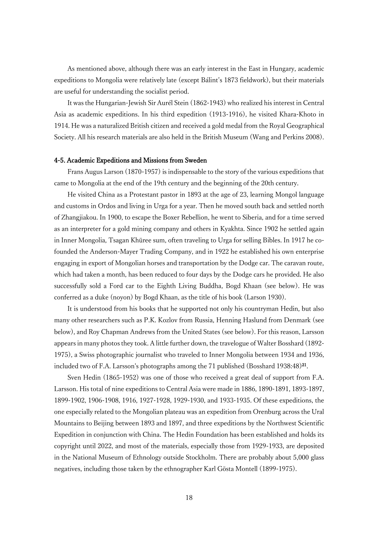As mentioned above, although there was an early interest in the East in Hungary, academic expeditions to Mongolia were relatively late (except Bálint's 1873 fieldwork), but their materials are useful for understanding the socialist period.

It was the Hungarian-Jewish Sir Aurél Stein (1862-1943) who realized his interest in Central Asia as academic expeditions. In his third expedition (1913-1916), he visited Khara-Khoto in 1914. He was a naturalized British citizen and received a gold medal from the Royal Geographical Society. All his research materials are also held in the British Museum (Wang and Perkins 2008).

### 4-5. Academic Expeditions and Missions from Sweden

Frans Augus Larson (1870-1957) is indispensable to the story of the various expeditions that came to Mongolia at the end of the 19th century and the beginning of the 20th century.

He visited China as a Protestant pastor in 1893 at the age of 23, learning Mongol language and customs in Ordos and living in Urga for a year. Then he moved south back and settled north of Zhangjiakou. In 1900, to escape the Boxer Rebellion, he went to Siberia, and for a time served as an interpreter for a gold mining company and others in Kyakhta. Since 1902 he settled again in Inner Mongolia, Tsagan Khüree sum, often traveling to Urga for selling Bibles. In 1917 he cofounded the Anderson-Mayer Trading Company, and in 1922 he established his own enterprise engaging in export of Mongolian horses and transportation by the Dodge car. The caravan route, which had taken a month, has been reduced to four days by the Dodge cars he provided. He also successfully sold a Ford car to the Eighth Living Buddha, Bogd Khaan (see below). He was conferred as a duke (noyon) by Bogd Khaan, as the title of his book (Larson 1930).

It is understood from his books that he supported not only his countryman Hedin, but also many other researchers such as P.K. Kozlov from Russia, Henning Haslund from Denmark (see below), and Roy Chapman Andrews from the United States (see below). For this reason, Larsson appears in many photos they took. A little further down, the travelogue of Walter Bosshard (1892- 1975), a Swiss photographic journalist who traveled to Inner Mongolia between 1934 and 1936, included two of F.A. Larsson's photographs among the 71 published (Bosshard 1938:48)<sup>21</sup>.

Sven Hedin (1865-1952) was one of those who received a great deal of support from F.A. Larsson. His total of nine expeditions to Central Asia were made in 1886, 1890-1891, 1893-1897, 1899-1902, 1906-1908, 1916, 1927-1928, 1929-1930, and 1933-1935. Of these expeditions, the one especially related to the Mongolian plateau was an expedition from Orenburg across the Ural Mountains to Beijing between 1893 and 1897, and three expeditions by the Northwest Scientific Expedition in conjunction with China. The Hedin Foundation has been established and holds its copyright until 2022, and most of the materials, especially those from 1929-1933, are deposited in the National Museum of Ethnology outside Stockholm. There are probably about 5,000 glass negatives, including those taken by the ethnographer Karl Gösta Montell (1899-1975).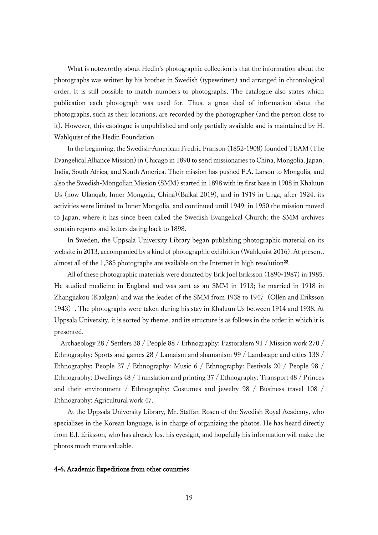What is noteworthy about Hedin's photographic collection is that the information about the photographs was written by his brother in Swedish (typewritten) and arranged in chronological order. It is still possible to match numbers to photographs. The catalogue also states which publication each photograph was used for. Thus, a great deal of information about the photographs, such as their locations, are recorded by the photographer (and the person close to it). However, this catalogue is unpublished and only partially available and is maintained by H. Wahlquist of the Hedin Foundation.

In the beginning, the Swedish-American Fredric Franson (1852-1908) founded TEAM (The Evangelical Alliance Mission) in Chicago in 1890 to send missionaries to China, Mongolia, Japan, India, South Africa, and South America. Their mission has pushed F.A. Larson to Mongolia, and also the Swedish-Mongolian Mission (SMM) started in 1898 with its first base in 1908 in Khaluun Us (now Ulanqab, Inner Mongolia, China)(Baikal 2019), and in 1919 in Urga; after 1924, its activities were limited to Inner Mongolia, and continued until 1949; in 1950 the mission moved to Japan, where it has since been called the Swedish Evangelical Church; the SMM archives contain reports and letters dating back to 1898.

In Sweden, the Uppsala University Library began publishing photographic material on its website in 2013, accompanied by a kind of photographic exhibition (Wahlquist 2016). At present, almost all of the  $1,385$  photographs are available on the Internet in high resolution<sup>22</sup>.

All of these photographic materials were donated by Erik Joel Eriksson (1890-1987) in 1985. He studied medicine in England and was sent as an SMM in 1913; he married in 1918 in Zhangjiakou (Kaalgan) and was the leader of the SMM from 1938 to 1947(Ollén and Eriksson 1943). The photographs were taken during his stay in Khaluun Us between 1914 and 1938. At Uppsala University, it is sorted by theme, and its structure is as follows in the order in which it is presented.

Archaeology 28 / Settlers 38 / People 88 / Ethnography: Pastoralism 91 / Mission work 270 / Ethnography: Sports and games 28 / Lamaism and shamanism 99 / Landscape and cities 138 / Ethnography: People 27 / Ethnography: Music 6 / Ethnography: Festivals 20 / People 98 / Ethnography: Dwellings 48 / Translation and printing 37 / Ethnography: Transport 48 / Princes and their environment / Ethnography: Costumes and jewelry 98 / Business travel 108 / Ethnography: Agricultural work 47.

At the Uppsala University Library, Mr. Staffan Rosen of the Swedish Royal Academy, who specializes in the Korean language, is in charge of organizing the photos. He has heard directly from E.J. Eriksson, who has already lost his eyesight, and hopefully his information will make the photos much more valuable.

### 4-6. Academic Expeditions from other countries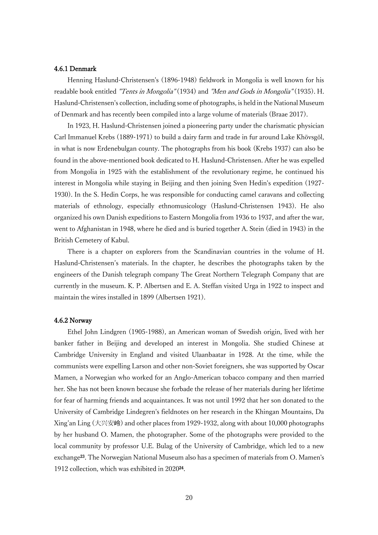### 4.6.1 Denmark

Henning Haslund-Christensen's (1896-1948) fieldwork in Mongolia is well known for his readable book entitled "Tents in Mongolia" (1934) and "Men and Gods in Mongolia" (1935). H. Haslund-Christensen's collection, including some of photographs, is held in the National Museum of Denmark and has recently been compiled into a large volume of materials (Braae 2017).

In 1923, H. Haslund-Christensen joined a pioneering party under the charismatic physician Carl Immanuel Krebs (1889-1971) to build a dairy farm and trade in fur around Lake Khövsgöl, in what is now Erdenebulgan county. The photographs from his book (Krebs 1937) can also be found in the above-mentioned book dedicated to H. Haslund-Christensen. After he was expelled from Mongolia in 1925 with the establishment of the revolutionary regime, he continued his interest in Mongolia while staying in Beijing and then joining Sven Hedin's expedition (1927- 1930). In the S. Hedin Corps, he was responsible for conducting camel caravans and collecting materials of ethnology, especially ethnomusicology (Haslund-Christensen 1943). He also organized his own Danish expeditions to Eastern Mongolia from 1936 to 1937, and after the war, went to Afghanistan in 1948, where he died and is buried together A. Stein (died in 1943) in the British Cemetery of Kabul.

There is a chapter on explorers from the Scandinavian countries in the volume of H. Haslund-Christensen's materials. In the chapter, he describes the photographs taken by the engineers of the Danish telegraph company The Great Northern Telegraph Company that are currently in the museum. K. P. Albertsen and E. A. Steffan visited Urga in 1922 to inspect and maintain the wires installed in 1899 (Albertsen 1921).

### 4.6.2 Norway

Ethel John Lindgren (1905-1988), an American woman of Swedish origin, lived with her banker father in Beijing and developed an interest in Mongolia. She studied Chinese at Cambridge University in England and visited Ulaanbaatar in 1928. At the time, while the communists were expelling Larson and other non-Soviet foreigners, she was supported by Oscar Mamen, a Norwegian who worked for an Anglo-American tobacco company and then married her. She has not been known because she forbade the release of her materials during her lifetime for fear of harming friends and acquaintances. It was not until 1992 that her son donated to the University of Cambridge Lindegren's fieldnotes on her research in the Khingan Mountains, Da Xing'an Ling (大兴安岭) and other places from 1929-1932, along with about 10,000 photographs by her husband O. Mamen, the photographer. Some of the photographs were provided to the local community by professor U.E. Bulag of the University of Cambridge, which led to a new exchange<sup>23</sup>. The Norwegian National Museum also has a specimen of materials from O. Mamen's 1912 collection, which was exhibited in 2020<sup>24</sup> .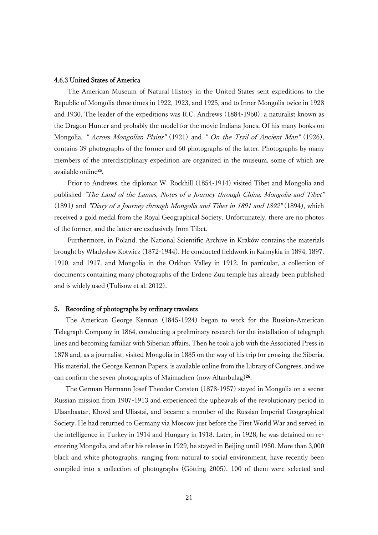### 4.6.3 United States of America

The American Museum of Natural History in the United States sent expeditions to the Republic of Mongolia three times in 1922, 1923, and 1925, and to Inner Mongolia twice in 1928 and 1930. The leader of the expeditions was R.C. Andrews (1884-1960), a naturalist known as the Dragon Hunter and probably the model for the movie Indiana Jones. Of his many books on Mongolia, " Across Mongolian Plains" (1921) and " On the Trail of Ancient Man" (1926), contains 39 photographs of the former and 60 photographs of the latter. Photographs by many members of the interdisciplinary expedition are organized in the museum, some of which are available online<sup>25</sup> .

Prior to Andrews, the diplomat W. Rockhill (1854-1914) visited Tibet and Mongolia and published "The Land of the Lamas, Notes of a Journey through China, Mongolia and Tibet" (1891) and "Diary of a Journey through Mongolia and Tibet in 1891 and 1892" (1894), which received a gold medal from the Royal Geographical Society. Unfortunately, there are no photos of the former, and the latter are exclusively from Tibet.

Furthermore, in Poland, the National Scientific Archive in Kraków contains the materials brought by Władysław Kotwicz (1872-1944). He conducted fieldwork in Kalmykia in 1894, 1897, 1910, and 1917, and Mongolia in the Orkhon Valley in 1912. In particular, a collection of documents containing many photographs of the Erdene Zuu temple has already been published and is widely used (Tulisow et al. 2012).

## 5. Recording of photographs by ordinary travelers

The American George Kennan (1845-1924) began to work for the Russian-American Telegraph Company in 1864, conducting a preliminary research for the installation of telegraph lines and becoming familiar with Siberian affairs. Then he took a job with the Associated Press in 1878 and, as a journalist, visited Mongolia in 1885 on the way of his trip for crossing the Siberia. His material, the George Kennan Papers, is available online from the Library of Congress, and we can confirm the seven photographs of Maimachen (now Altanbulag)<sup>26</sup>.

The German Hermann Josef Theodor Consten (1878-1957) stayed in Mongolia on a secret Russian mission from 1907-1913 and experienced the upheavals of the revolutionary period in Ulaanbaatar, Khovd and Uliastai, and became a member of the Russian Imperial Geographical Society. He had returned to Germany via Moscow just before the First World War and served in the intelligence in Turkey in 1914 and Hungary in 1918. Later, in 1928, he was detained on reentering Mongolia, and after his release in 1929, he stayed in Beijing until 1950. More than 3,000 black and white photographs, ranging from natural to social environment, have recently been compiled into a collection of photographs (Götting 2005). 100 of them were selected and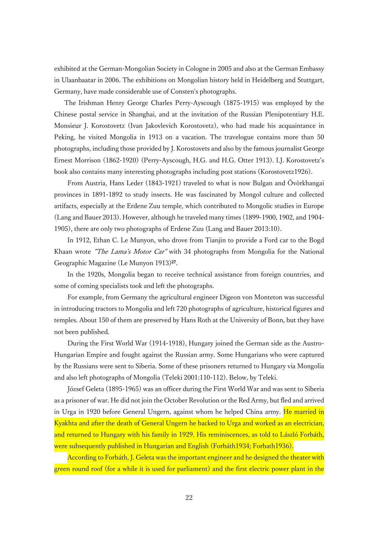exhibited at the German-Mongolian Society in Cologne in 2005 and also at the German Embassy in Ulaanbaatar in 2006. The exhibitions on Mongolian history held in Heidelberg and Stuttgart, Germany, have made considerable use of Consten's photographs.

The Irishman Henry George Charles Perry-Ayscough (1875-1915) was employed by the Chinese postal service in Shanghai, and at the invitation of the Russian Plenipotentiary H.E. Monsieur J. Korostovetz (Ivan Jakovlevich Korostovetz), who had made his acquaintance in Peking, he visited Mongolia in 1913 on a vacation. The travelogue contains more than 50 photographs, including those provided by J. Korostovets and also by the famous journalist George Ernest Morrison (1862-1920) (Perry-Ayscough, H.G. and H.G. Otter 1913). I.J. Korostovetz's book also contains many interesting photographs including post stations (Korostovetz1926).

From Austria, Hans Leder (1843-1921) traveled to what is now Bulgan and Övörkhangai provinces in 1891-1892 to study insects. He was fascinated by Mongol culture and collected artifacts, especially at the Erdene Zuu temple, which contributed to Mongolic studies in Europe (Lang and Bauer 2013). However, although he traveled many times (1899-1900, 1902, and 1904- 1905), there are only two photographs of Erdene Zuu (Lang and Bauer 2013:10).

In 1912, Ethan C. Le Munyon, who drove from Tianjin to provide a Ford car to the Bogd Khaan wrote "The Lama's Motor Car" with 34 photographs from Mongolia for the National Geographic Magazine (Le Munyon 1913)<sup>27</sup>.

In the 1920s, Mongolia began to receive technical assistance from foreign countries, and some of coming specialists took and left the photographs.

For example, from Germany the agricultural engineer Digeon von Monteton was successful in introducing tractors to Mongolia and left 720 photographs of agriculture, historical figures and temples. About 150 of them are preserved by Hans Roth at the University of Bonn, but they have not been published.

During the First World War (1914-1918), Hungary joined the German side as the Austro-Hungarian Empire and fought against the Russian army. Some Hungarians who were captured by the Russians were sent to Siberia. Some of these prisoners returned to Hungary via Mongolia and also left photographs of Mongolia (Teleki 2001:110-112). Below, by Teleki.

József Geleta (1895-1965) was an officer during the First World War and was sent to Siberia as a prisoner of war. He did not join the October Revolution or the Red Army, but fled and arrived in Urga in 1920 before General Ungern, against whom he helped China army. He married in Kyakhta and after the death of General Ungern he backed to Urga and worked as an electrician, and returned to Hungary with his family in 1929. His reminiscences, as told to László Forbáth, were subsequently published in Hungarian and English (Forbáth1934; Forbath1936).

According to Forbáth, J. Geleta was the important engineer and he designed the theater with green round roof (for a while it is used for parliament) and the first electric power plant in the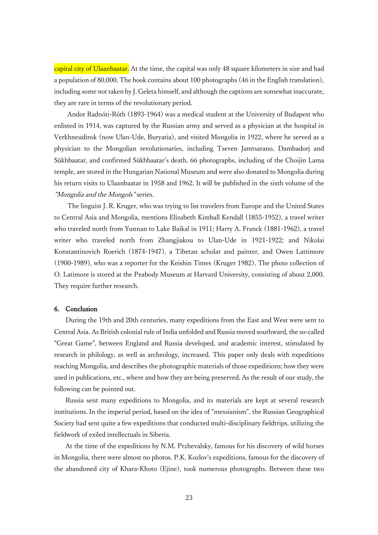capital city of Ulaanbaatar. At the time, the capital was only 48 square kilometers in size and had a population of 80,000. The book contains about 100 photographs (46 in the English translation), including some not taken by J. Geleta himself, and although the captions are somewhat inaccurate, they are rare in terms of the revolutionary period.

Andor Radnóti-Róth (1893-1964) was a medical student at the University of Budapest who enlisted in 1914, was captured by the Russian army and served as a physician at the hospital in Verkhneudinsk (now Ulan-Ude, Buryatia), and visited Mongolia in 1922, where he served as a physician to the Mongolian revolutionaries, including Tseven Jamtsarano, Dambadorj and Sükhbaatar, and confirmed Sükhbaatar's death. 66 photographs, including of the Choijin Lama temple, are stored in the Hungarian National Museum and were also donated to Mongolia during his return visits to Ulaanbaatar in 1958 and 1962. It will be published in the sixth volume of the "Mongolia and the Mongols" series.

The linguist J. R. Kruger, who was trying to list travelers from Europe and the United States to Central Asia and Mongolia, mentions Elizabeth Kimball Kendall (1855-1952), a travel writer who traveled north from Yunnan to Lake Baikal in 1911; Harry A. Franck (1881-1962), a travel writer who traveled north from Zhangjiakou to Ulan-Ude in 1921-1922; and Nikolai Konstantinovich Roerich (1874-1947), a Tibetan scholar and painter, and Owen Lattimore (1900-1989), who was a reporter for the Keishin Times (Kruger 1982). The photo collection of O. Latimore is stored at the Peabody Museum at Harvard University, consisting of about 2,000. They require further research.

## 6. Conclusion

During the 19th and 20th centuries, many expeditions from the East and West were sent to Central Asia. As British colonial rule of India unfolded and Russia moved southward, the so-called "Great Game", between England and Russia developed, and academic interest, stimulated by research in philology, as well as archeology, increased. This paper only deals with expeditions reaching Mongolia, and describes the photographic materials of those expeditions; how they were used in publications, etc., where and how they are being preserved. As the result of our study, the following can be pointed out.

Russia sent many expeditions to Mongolia, and its materials are kept at several research institutions. In the imperial period, based on the idea of "messianism", the Russian Geographical Society had sent quite a few expeditions that conducted multi-disciplinary fieldtrips, utilizing the fieldwork of exiled intellectuals in Siberia.

At the time of the expeditions by N.M. Przhevalsky, famous for his discovery of wild horses in Mongolia, there were almost no photos. P.K. Kozlov's expeditions, famous for the discovery of the abandoned city of Khara-Khoto (Ejine), took numerous photographs. Between these two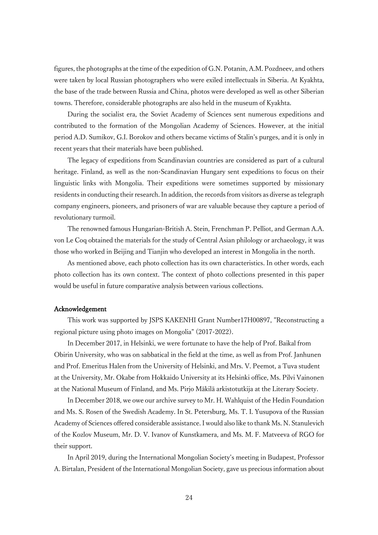figures, the photographs at the time of the expedition of G.N. Potanin, A.M. Pozdneev, and others were taken by local Russian photographers who were exiled intellectuals in Siberia. At Kyakhta, the base of the trade between Russia and China, photos were developed as well as other Siberian towns. Therefore, considerable photographs are also held in the museum of Kyakhta.

During the socialist era, the Soviet Academy of Sciences sent numerous expeditions and contributed to the formation of the Mongolian Academy of Sciences. However, at the initial period A.D. Sumikov, G.I. Borokov and others became victims of Stalin's purges, and it is only in recent years that their materials have been published.

The legacy of expeditions from Scandinavian countries are considered as part of a cultural heritage. Finland, as well as the non-Scandinavian Hungary sent expeditions to focus on their linguistic links with Mongolia. Their expeditions were sometimes supported by missionary residents in conducting their research. In addition, the records from visitors as diverse as telegraph company engineers, pioneers, and prisoners of war are valuable because they capture a period of revolutionary turmoil.

The renowned famous Hungarian-British A. Stein, Frenchman P. Pelliot, and German A.A. von Le Coq obtained the materials for the study of Central Asian philology or archaeology, it was those who worked in Beijing and Tianjin who developed an interest in Mongolia in the north.

As mentioned above, each photo collection has its own characteristics. In other words, each photo collection has its own context. The context of photo collections presented in this paper would be useful in future comparative analysis between various collections.

## Acknowledgement

This work was supported by JSPS KAKENHI Grant Number17H00897, "Reconstructing a regional picture using photo images on Mongolia" (2017-2022).

In December 2017, in Helsinki, we were fortunate to have the help of Prof. Baikal from Obirin University, who was on sabbatical in the field at the time, as well as from Prof. Janhunen and Prof. Emeritus Halen from the University of Helsinki, and Mrs. V. Peemot, a Tuva student at the University, Mr. Okabe from Hokkaido University at its Helsinki office, Ms. Pilvi Vainonen at the National Museum of Finland, and Ms. Pirjo Mäkilä arkistotutkija at the Literary Society.

In December 2018, we owe our archive survey to Mr. H. Wahlquist of the Hedin Foundation and Ms. S. Rosen of the Swedish Academy. In St. Petersburg, Ms. T. I. Yusupova of the Russian Academy of Sciences offered considerable assistance. I would also like to thank Ms. N. Stanulevich of the Kozlov Museum, Mr. D. V. Ivanov of Kunstkamera, and Ms. M. F. Matveeva of RGO for their support.

In April 2019, during the International Mongolian Society's meeting in Budapest, Professor A. Birtalan, President of the International Mongolian Society, gave us precious information about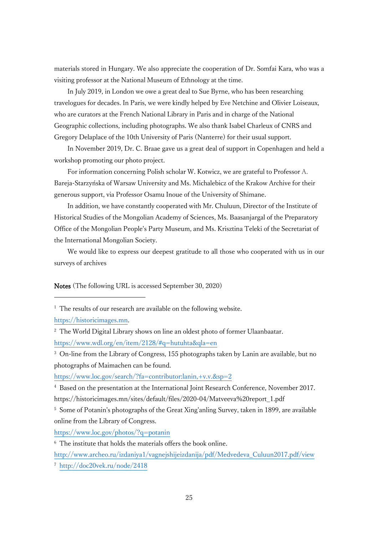materials stored in Hungary. We also appreciate the cooperation of Dr. Somfai Kara, who was a visiting professor at the National Museum of Ethnology at the time.

In July 2019, in London we owe a great deal to Sue Byrne, who has been researching travelogues for decades. In Paris, we were kindly helped by Eve Netchine and Olivier Loiseaux, who are curators at the French National Library in Paris and in charge of the National Geographic collections, including photographs. We also thank Isabel Charleux of CNRS and Gregory Delaplace of the 10th University of Paris (Nanterre) for their usual support.

In November 2019, Dr. C. Braae gave us a great deal of support in Copenhagen and held a workshop promoting our photo project.

For information concerning Polish scholar W. Kotwicz, we are grateful to Professor A. Bareja-Starzyńska of Warsaw University and Ms. Michalebicz of the Krakow Archive for their generous support, via Professor Osamu Inoue of the University of Shimane.

In addition, we have constantly cooperated with Mr. Chuluun, Director of the Institute of Historical Studies of the Mongolian Academy of Sciences, Ms. Baasanjargal of the Preparatory Office of the Mongolian People's Party Museum, and Ms. Krisztina Teleki of the Secretariat of the International Mongolian Society.

We would like to express our deepest gratitude to all those who cooperated with us in our surveys of archives

Notes (The following URL is accessed September 30, 2020)

[https://historicimages.mn.](https://historicimages.mn/)

<sup>3</sup> On-line from the Library of Congress, 155 photographs taken by Lanin are available, but no photographs of Maimachen can be found.

<https://www.loc.gov/search/?fa=contributor:lanin,+v.v.&sp=2>

<sup>4</sup> Based on the presentation at the International Joint Research Conference, November 2017. https://historicimages.mn/sites/default/files/2020-04/Matveeva%20report\_1.pdf

<sup>5</sup> Some of Potanin's photographs of the Great Xing'anling Survey, taken in 1899, are available online from the Library of Congress.

<https://www.loc.gov/photos/?q=potanin>

<sup>6</sup> The institute that holds the materials offers the book online.

[http://www.archeo.ru/izdaniya1/vagnejshijeizdanija/pdf/Medvedeva\\_Culuun2017.pdf/view](http://www.archeo.ru/izdaniya1/vagnejshijeizdanija/pdf/Medvedeva_Culuun2017.pdf/view)

<sup>7</sup> <http://doc20vek.ru/node/2418>

<sup>&</sup>lt;sup>1</sup> The results of our research are available on the following website.

<sup>&</sup>lt;sup>2</sup> The World Digital Library shows on line an oldest photo of former Ulaanbaatar. <https://www.wdl.org/en/item/2128/#q=hutuhta&qla=en>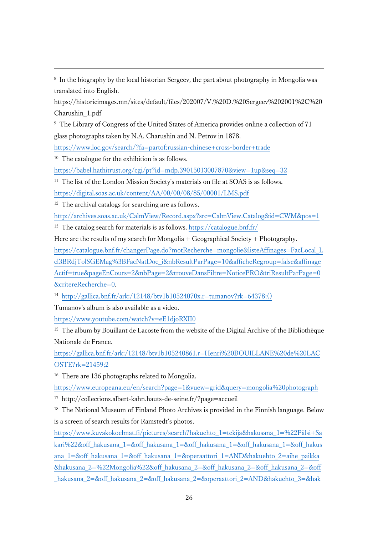8 In the biography by the local historian Sergeev, the part about photography in Mongolia was translated into English.

https://historicimages.mn/sites/default/files/202007/V.%20D.%20Sergeev%202001%2C%20 Charushin\_1.pdf

<sup>9</sup> The Library of Congress of the United States of America provides online a collection of 71 glass photographs taken by N.A. Charushin and N. Petrov in 1878.

<https://www.loc.gov/search/?fa=partof:russian-chinese+cross-border+trade>

<sup>10</sup> The catalogue for the exhibition is as follows.

<https://babel.hathitrust.org/cgi/pt?id=mdp.39015013007870&view=1up&seq=32>

<sup>11</sup> The list of the London Mission Society's materials on file at SOAS is as follows. <https://digital.soas.ac.uk/content/AA/00/00/08/85/00001/LMS.pdf>

<sup>12</sup> The archival catalogs for searching are as follows.

<http://archives.soas.ac.uk/CalmView/Record.aspx?src=CalmView.Catalog&id=CWM&pos=1>

<sup>13</sup> The catalog search for materials is as follows. <https://catalogue.bnf.fr/>

Here are the results of my search for Mongolia  $+$  Geographical Society  $+$  Photography.

[https://catalogue.bnf.fr/changerPage.do?motRecherche=mongolie&listeAffinages=FacLocal\\_L](https://catalogue.bnf.fr/changerPage.do?motRecherche=mongolie&listeAffinages=FacLocal_Lcl3BRdjTolSGEMag%3BFacNatDoc_i&nbResultParPage=10&afficheRegroup=false&affinageActif=true&pageEnCours=2&nbPage=2&trouveDansFiltre=NoticePRO&triResultParPage=0&critereRecherche=0) [cl3BRdjTolSGEMag%3BFacNatDoc\\_i&nbResultParPage=10&afficheRegroup=false&affinage](https://catalogue.bnf.fr/changerPage.do?motRecherche=mongolie&listeAffinages=FacLocal_Lcl3BRdjTolSGEMag%3BFacNatDoc_i&nbResultParPage=10&afficheRegroup=false&affinageActif=true&pageEnCours=2&nbPage=2&trouveDansFiltre=NoticePRO&triResultParPage=0&critereRecherche=0) [Actif=true&pageEnCours=2&nbPage=2&trouveDansFiltre=NoticePRO&triResultParPage=0](https://catalogue.bnf.fr/changerPage.do?motRecherche=mongolie&listeAffinages=FacLocal_Lcl3BRdjTolSGEMag%3BFacNatDoc_i&nbResultParPage=10&afficheRegroup=false&affinageActif=true&pageEnCours=2&nbPage=2&trouveDansFiltre=NoticePRO&triResultParPage=0&critereRecherche=0) [&critereRecherche=0.](https://catalogue.bnf.fr/changerPage.do?motRecherche=mongolie&listeAffinages=FacLocal_Lcl3BRdjTolSGEMag%3BFacNatDoc_i&nbResultParPage=10&afficheRegroup=false&affinageActif=true&pageEnCours=2&nbPage=2&trouveDansFiltre=NoticePRO&triResultParPage=0&critereRecherche=0)

<sup>14</sup> [http://gallica.bnf.fr/ark:/12148/btv1b10524070x.r=tumanov?rk=64378;\(\)](http://gallica.bnf.fr/ark:/12148/btv1b10524070x.r=tumanov?rk=64378;())

Tumanov's album is also available as a video.

<https://www.youtube.com/watch?v=eE1djoRXII0>

<sup>15</sup> The album by Bouillant de Lacoste from the website of the Digital Archive of the Bibliothèque Nationale de France.

[https://gallica.bnf.fr/ark:/12148/btv1b105240861.r=Henri%20BOUILLANE%20de%20LAC](https://gallica.bnf.fr/ark:/12148/btv1b105240861.r=Henri%20BOUILLANE%20de%20LACOSTE?rk=21459;2) [OSTE?rk=21459;2](https://gallica.bnf.fr/ark:/12148/btv1b105240861.r=Henri%20BOUILLANE%20de%20LACOSTE?rk=21459;2)

<sup>16</sup> There are 136 photographs related to Mongolia.

<https://www.europeana.eu/en/search?page=1&vuew=grid&query=mongolia%20photograph>

<sup>17</sup> http://collections.albert-kahn.hauts-de-seine.fr/?page=accueil

<sup>18</sup> The National Museum of Finland Photo Archives is provided in the Finnish language. Below is a screen of search results for Ramstedt's photos.

[https://www.kuvakokoelmat.fi/pictures/search?hakuehto\\_1=tekija&hakusana\\_1=%22Pälsi+Sa](https://www.kuvakokoelmat.fi/pictures/search?hakuehto_1=tekija&hakusana_1=%22Pälsi+Sakari%22&off_hakusana_1=&off_hakusana_1=&off_hakusana_1=&off_hakusana_1=&off_hakusana_1=&off_hakusana_1=&off_hakusana_1=&operaattori_1=AND&hakuehto_2=aihe_paikka&hakusana_2=%22Mongolia%22&off_hakusana_2=&off_hakusana_2=&off_hakusana_2=&off_hakusana_2=&off_hakusana_2=&off_hakusana_2=&operaattori_2=AND&hakuehto_3=&hakusana_3=&off_hakusana_3=&off_hakusana_3=&off_hakusana_3=&off_hakusana_3=&off_hakusana_3=&off_hakusana_3) [kari%22&off\\_hakusana\\_1=&off\\_hakusana\\_1=&off\\_hakusana\\_1=&off\\_hakusana\\_1=&off\\_hakus](https://www.kuvakokoelmat.fi/pictures/search?hakuehto_1=tekija&hakusana_1=%22Pälsi+Sakari%22&off_hakusana_1=&off_hakusana_1=&off_hakusana_1=&off_hakusana_1=&off_hakusana_1=&off_hakusana_1=&off_hakusana_1=&operaattori_1=AND&hakuehto_2=aihe_paikka&hakusana_2=%22Mongolia%22&off_hakusana_2=&off_hakusana_2=&off_hakusana_2=&off_hakusana_2=&off_hakusana_2=&off_hakusana_2=&operaattori_2=AND&hakuehto_3=&hakusana_3=&off_hakusana_3=&off_hakusana_3=&off_hakusana_3=&off_hakusana_3=&off_hakusana_3=&off_hakusana_3) [ana\\_1=&off\\_hakusana\\_1=&off\\_hakusana\\_1=&operaattori\\_1=AND&hakuehto\\_2=aihe\\_paikka](https://www.kuvakokoelmat.fi/pictures/search?hakuehto_1=tekija&hakusana_1=%22Pälsi+Sakari%22&off_hakusana_1=&off_hakusana_1=&off_hakusana_1=&off_hakusana_1=&off_hakusana_1=&off_hakusana_1=&off_hakusana_1=&operaattori_1=AND&hakuehto_2=aihe_paikka&hakusana_2=%22Mongolia%22&off_hakusana_2=&off_hakusana_2=&off_hakusana_2=&off_hakusana_2=&off_hakusana_2=&off_hakusana_2=&operaattori_2=AND&hakuehto_3=&hakusana_3=&off_hakusana_3=&off_hakusana_3=&off_hakusana_3=&off_hakusana_3=&off_hakusana_3=&off_hakusana_3) [&hakusana\\_2=%22Mongolia%22&off\\_hakusana\\_2=&off\\_hakusana\\_2=&off\\_hakusana\\_2=&off](https://www.kuvakokoelmat.fi/pictures/search?hakuehto_1=tekija&hakusana_1=%22Pälsi+Sakari%22&off_hakusana_1=&off_hakusana_1=&off_hakusana_1=&off_hakusana_1=&off_hakusana_1=&off_hakusana_1=&off_hakusana_1=&operaattori_1=AND&hakuehto_2=aihe_paikka&hakusana_2=%22Mongolia%22&off_hakusana_2=&off_hakusana_2=&off_hakusana_2=&off_hakusana_2=&off_hakusana_2=&off_hakusana_2=&operaattori_2=AND&hakuehto_3=&hakusana_3=&off_hakusana_3=&off_hakusana_3=&off_hakusana_3=&off_hakusana_3=&off_hakusana_3=&off_hakusana_3) [\\_hakusana\\_2=&off\\_hakusana\\_2=&off\\_hakusana\\_2=&operaattori\\_2=AND&hakuehto\\_3=&hak](https://www.kuvakokoelmat.fi/pictures/search?hakuehto_1=tekija&hakusana_1=%22Pälsi+Sakari%22&off_hakusana_1=&off_hakusana_1=&off_hakusana_1=&off_hakusana_1=&off_hakusana_1=&off_hakusana_1=&off_hakusana_1=&operaattori_1=AND&hakuehto_2=aihe_paikka&hakusana_2=%22Mongolia%22&off_hakusana_2=&off_hakusana_2=&off_hakusana_2=&off_hakusana_2=&off_hakusana_2=&off_hakusana_2=&operaattori_2=AND&hakuehto_3=&hakusana_3=&off_hakusana_3=&off_hakusana_3=&off_hakusana_3=&off_hakusana_3=&off_hakusana_3=&off_hakusana_3)